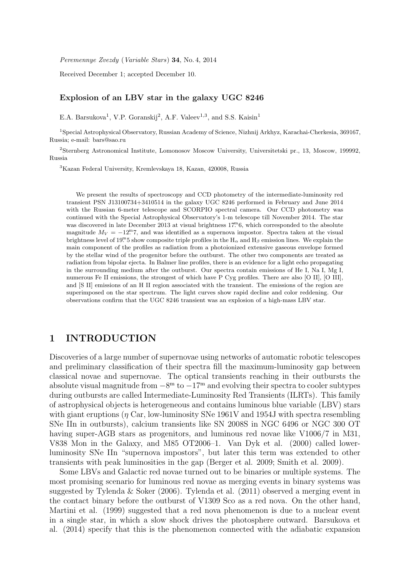Peremennye Zvezdy (Variable Stars) 34, No. 4, 2014

Received December 1; accepted December 10.

# Explosion of an LBV star in the galaxy UGC 8246

E.A. Barsukova<sup>1</sup>, V.P. Goranskij<sup>2</sup>, A.F. Valeev<sup>1,3</sup>, and S.S. Kaisin<sup>1</sup>

<sup>1</sup>Special Astrophysical Observatory, Russian Academy of Science, Nizhnij Arkhyz, Karachai-Cherkesia, 369167, Russia; e-mail: bars@sao.ru

<sup>2</sup>Sternberg Astronomical Institute, Lomonosov Moscow University, Universitetski pr., 13, Moscow, 199992, Russia

<sup>3</sup>Kazan Federal University, Kremlevskaya 18, Kazan, 420008, Russia

We present the results of spectroscopy and CCD photometry of the intermediate-luminosity red transient PSN J13100734+3410514 in the galaxy UGC 8246 performed in February and June 2014 with the Russian 6-meter telescope and SCORPIO spectral camera. Our CCD photometry was continued with the Special Astrophysical Observatory's 1-m telescope till November 2014. The star was discovered in late December 2013 at visual brightness  $17<sup>m</sup>6$ , which corresponded to the absolute magnitude  $M_V = -12<sup>m</sup>7$ , and was identified as a supernova impostor. Spectra taken at the visual brightness level of 19<sup>m</sup>5 show composite triple profiles in the  $H_{\alpha}$  and  $H_{\beta}$  emission lines. We explain the main component of the profiles as radiation from a photoionized extensive gaseous envelope formed by the stellar wind of the progenitor before the outburst. The other two components are treated as radiation from bipolar ejecta. In Balmer line profiles, there is an evidence for a light echo propagating in the surrounding medium after the outburst. Our spectra contain emissions of He I, Na I, Mg I, numerous Fe II emissions, the strongest of which have P Cyg profiles. There are also [O II], [O III], and [S II] emissions of an H II region associated with the transient. The emissions of the region are superimposed on the star spectrum. The light curves show rapid decline and color reddening. Our observations confirm that the UGC 8246 transient was an explosion of a high-mass LBV star.

# 1 INTRODUCTION

Discoveries of a large number of supernovae using networks of automatic robotic telescopes and preliminary classification of their spectra fill the maximum-luminosity gap between classical novae and supernovae. The optical transients reaching in their outbursts the absolute visual magnitude from  $-8^{\rm m}$  to  $-17^{\rm m}$  and evolving their spectra to cooler subtypes during outbursts are called Intermediate-Luminosity Red Transients (ILRTs). This family of astrophysical objects is heterogeneous and contains luminous blue variable (LBV) stars with giant eruptions ( $\eta$  Car, low-luminosity SNe 1961V and 1954J with spectra resembling SNe IIn in outbursts), calcium transients like SN 2008S in NGC 6496 or NGC 300 OT having super-AGB stars as progenitors, and luminous red novae like V1006/7 in M31, V838 Mon in the Galaxy, and M85 OT2006–1. Van Dyk et al. (2000) called lowerluminosity SNe IIn "supernova impostors", but later this term was extended to other transients with peak luminosities in the gap (Berger et al. 2009; Smith et al. 2009).

Some LBVs and Galactic red novae turned out to be binaries or multiple systems. The most promising scenario for luminous red novae as merging events in binary systems was suggested by Tylenda & Soker (2006). Tylenda et al. (2011) observed a merging event in the contact binary before the outburst of V1309 Sco as a red nova. On the other hand, Martini et al. (1999) suggested that a red nova phenomenon is due to a nuclear event in a single star, in which a slow shock drives the photosphere outward. Barsukova et al. (2014) specify that this is the phenomenon connected with the adiabatic expansion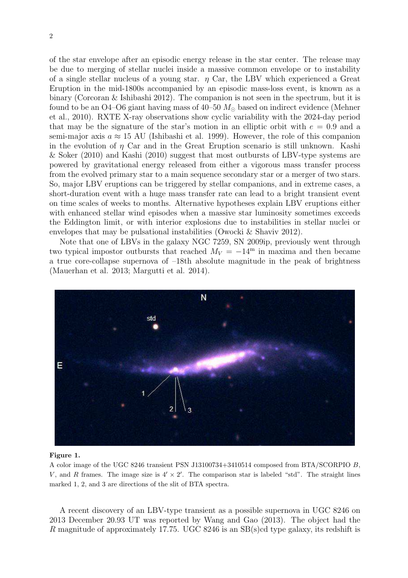of the star envelope after an episodic energy release in the star center. The release may be due to merging of stellar nuclei inside a massive common envelope or to instability of a single stellar nucleus of a young star.  $\eta$  Car, the LBV which experienced a Great Eruption in the mid-1800s accompanied by an episodic mass-loss event, is known as a binary (Corcoran & Ishibashi 2012). The companion is not seen in the spectrum, but it is found to be an O4–O6 giant having mass of  $40-50$   $M_{\odot}$  based on indirect evidence (Mehner et al., 2010). RXTE X-ray observations show cyclic variability with the 2024-day period that may be the signature of the star's motion in an elliptic orbit with  $e = 0.9$  and a semi-major axis  $a \approx 15$  AU (Ishibashi et al. 1999). However, the role of this companion in the evolution of  $\eta$  Car and in the Great Eruption scenario is still unknown. Kashi & Soker (2010) and Kashi (2010) suggest that most outbursts of LBV-type systems are powered by gravitational energy released from either a vigorous mass transfer process from the evolved primary star to a main sequence secondary star or a merger of two stars. So, major LBV eruptions can be triggered by stellar companions, and in extreme cases, a short-duration event with a huge mass transfer rate can lead to a bright transient event on time scales of weeks to months. Alternative hypotheses explain LBV eruptions either with enhanced stellar wind episodes when a massive star luminosity sometimes exceeds the Eddington limit, or with interior explosions due to instabilities in stellar nuclei or envelopes that may be pulsational instabilities (Owocki & Shaviv 2012).

Note that one of LBVs in the galaxy NGC 7259, SN 2009ip, previously went through two typical impostor outbursts that reached  $M_V = -14^{\rm m}$  in maxima and then became a true core-collapse supernova of –18th absolute magnitude in the peak of brightness (Mauerhan et al. 2013; Margutti et al. 2014).



## Figure 1.

A color image of the UGC 8246 transient PSN J13100734+3410514 composed from BTA/SCORPIO B, V, and R frames. The image size is  $4' \times 2'$ . The comparison star is labeled "std". The straight lines marked 1, 2, and 3 are directions of the slit of BTA spectra.

A recent discovery of an LBV-type transient as a possible supernova in UGC 8246 on 2013 December 20.93 UT was reported by Wang and Gao (2013). The object had the R magnitude of approximately 17.75. UGC 8246 is an SB(s)cd type galaxy, its redshift is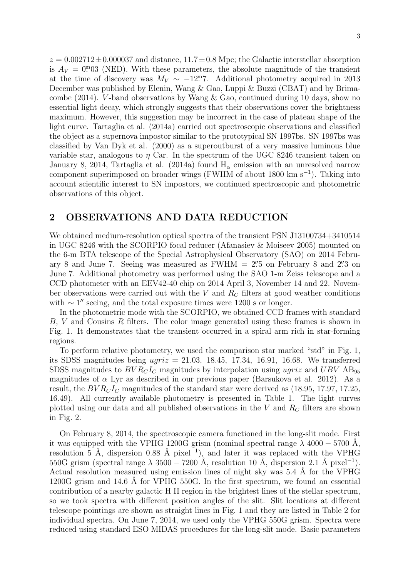$z = 0.002712 \pm 0.000037$  and distance,  $11.7 \pm 0.8$  Mpc; the Galactic interstellar absorption is  $A_V = 0.03$  (NED). With these parameters, the absolute magnitude of the transient at the time of discovery was  $M_V \sim -12$ . Additional photometry acquired in 2013 December was published by Elenin, Wang & Gao, Luppi & Buzzi (CBAT) and by Brimacombe (2014). V-band observations by Wang  $\&$  Gao, continued during 10 days, show no essential light decay, which strongly suggests that their observations cover the brightness maximum. However, this suggestion may be incorrect in the case of plateau shape of the light curve. Tartaglia et al. (2014a) carried out spectroscopic observations and classified the object as a supernova impostor similar to the prototypical SN 1997bs. SN 1997bs was classified by Van Dyk et al. (2000) as a superoutburst of a very massive luminous blue variable star, analogous to  $\eta$  Car. In the spectrum of the UGC 8246 transient taken on January 8, 2014, Tartaglia et al. (2014a) found  $H_{\alpha}$  emission with an unresolved narrow component superimposed on broader wings (FWHM of about 1800 km s<sup>−</sup><sup>1</sup> ). Taking into account scientific interest to SN impostors, we continued spectroscopic and photometric observations of this object.

# 2 OBSERVATIONS AND DATA REDUCTION

We obtained medium-resolution optical spectra of the transient PSN J13100734+3410514 in UGC 8246 with the SCORPIO focal reducer (Afanasiev & Moiseev 2005) mounted on the 6-m BTA telescope of the Special Astrophysical Observatory (SAO) on 2014 February 8 and June 7. Seeing was measured as  $FWHM = 2\rlap{.}^{\prime\prime}5$  on February 8 and  $2\rlap{.}^{\prime\prime}3$  on June 7. Additional photometry was performed using the SAO 1-m Zeiss telescope and a CCD photometer with an EEV42-40 chip on 2014 April 3, November 14 and 22. November observations were carried out with the  $V$  and  $R_C$  filters at good weather conditions with  $\sim 1''$  seeing, and the total exposure times were 1200 s or longer.

In the photometric mode with the SCORPIO, we obtained CCD frames with standard B, V and Cousins R filters. The color image generated using these frames is shown in Fig. 1. It demonstrates that the transient occurred in a spiral arm rich in star-forming regions.

To perform relative photometry, we used the comparison star marked "std" in Fig. 1, its SDSS magnitudes being  $ugriz = 21.03, 18.45, 17.34, 16.91, 16.68$ . We transferred SDSS magnitudes to  $BVR<sub>C</sub>I<sub>C</sub>$  magnitudes by interpolation using ugriz and  $UBV$  AB<sub>95</sub> magnitudes of  $\alpha$  Lyr as described in our previous paper (Barsukova et al. 2012). As a result, the  $BVR<sub>C</sub>I<sub>C</sub>$  magnitudes of the standard star were derived as (18.95, 17.97, 17.25, 16.49). All currently available photometry is presented in Table 1. The light curves plotted using our data and all published observations in the  $V$  and  $R_C$  filters are shown in Fig. 2.

On February 8, 2014, the spectroscopic camera functioned in the long-slit mode. First it was equipped with the VPHG 1200G grism (nominal spectral range  $\lambda$  4000 – 5700 Å, resolution 5 Å, dispersion 0.88 Å pixel<sup>-1</sup>), and later it was replaced with the VPHG 550G grism (spectral range  $\lambda$  3500 – 7200 Å, resolution 10 Å, dispersion 2.1 Å pixel<sup>-1</sup>). Actual resolution measured using emission lines of night sky was 5.4 Å for the VPHG  $1200G$  grism and  $14.6$  Å for VPHG 550G. In the first spectrum, we found an essential contribution of a nearby galactic H II region in the brightest lines of the stellar spectrum, so we took spectra with different position angles of the slit. Slit locations at different telescope pointings are shown as straight lines in Fig. 1 and they are listed in Table 2 for individual spectra. On June 7, 2014, we used only the VPHG 550G grism. Spectra were reduced using standard ESO MIDAS procedures for the long-slit mode. Basic parameters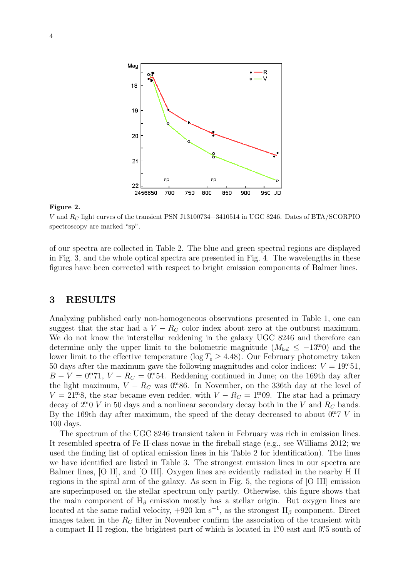

### Figure 2.

V and  $R_C$  light curves of the transient PSN J13100734+3410514 in UGC 8246. Dates of BTA/SCORPIO spectroscopy are marked "sp".

of our spectra are collected in Table 2. The blue and green spectral regions are displayed in Fig. 3, and the whole optical spectra are presented in Fig. 4. The wavelengths in these figures have been corrected with respect to bright emission components of Balmer lines.

# 3 RESULTS

Analyzing published early non-homogeneous observations presented in Table 1, one can suggest that the star had a  $V - R_C$  color index about zero at the outburst maximum. We do not know the interstellar reddening in the galaxy UGC 8246 and therefore can determine only the upper limit to the bolometric magnitude  $(M_{bol} \leq -13.00)$  and the lower limit to the effective temperature (log  $T_e \geq 4.48$ ). Our February photometry taken 50 days after the maximum gave the following magnitudes and color indices:  $V = 19.51$ ,  $B - V = 0$ . 71,  $V - R_C = 0$ . Reddening continued in June; on the 169th day after the light maximum,  $V - R_C$  was 0<sup>m</sup>86. In November, on the 336th day at the level of  $V = 21<sup>m</sup>8$ , the star became even redder, with  $V - R_C = 1<sup>m</sup>09$ . The star had a primary decay of  $2^{m}0$  V in 50 days and a nonlinear secondary decay both in the V and  $R_C$  bands. By the 169th day after maximum, the speed of the decay decreased to about  $0.7 V$  in 100 days.

The spectrum of the UGC 8246 transient taken in February was rich in emission lines. It resembled spectra of Fe II-class novae in the fireball stage (e.g., see Williams 2012; we used the finding list of optical emission lines in his Table 2 for identification). The lines we have identified are listed in Table 3. The strongest emission lines in our spectra are Balmer lines, [O II], and [O III]. Oxygen lines are evidently radiated in the nearby H II regions in the spiral arm of the galaxy. As seen in Fig. 5, the regions of [O III] emission are superimposed on the stellar spectrum only partly. Otherwise, this figure shows that the main component of  $H_\beta$  emission mostly has a stellar origin. But oxygen lines are located at the same radial velocity,  $+920 \text{ km s}^{-1}$ , as the strongest H<sub>β</sub> component. Direct images taken in the  $R_C$  filter in November confirm the association of the transient with a compact H II region, the brightest part of which is located in 1. 0 east and 0. 5 south of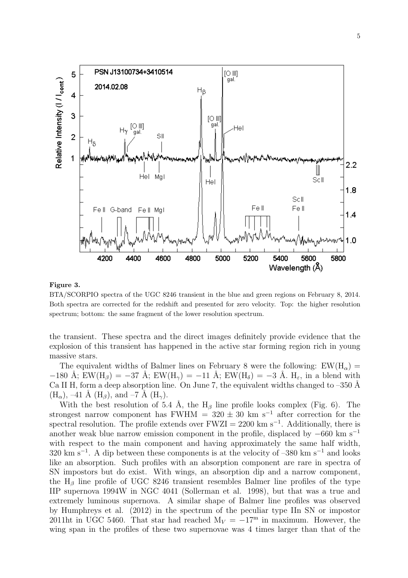

### Figure 3.

BTA/SCORPIO spectra of the UGC 8246 transient in the blue and green regions on February 8, 2014. Both spectra are corrected for the redshift and presented for zero velocity. Top: the higher resolution spectrum; bottom: the same fragment of the lower resolution spectrum.

the transient. These spectra and the direct images definitely provide evidence that the explosion of this transient has happened in the active star forming region rich in young massive stars.

The equivalent widths of Balmer lines on February 8 were the following:  $EW(H_{\alpha}) =$  $-180$  Å; EW(H<sub>β</sub>) =  $-37$  Å; EW(H<sub>γ</sub>) =  $-11$  Å; EW(H<sub>δ</sub>) =  $-3$  Å. H<sub>ε</sub>, in a blend with Ca II H, form a deep absorption line. On June 7, the equivalent widths changed to  $-350$  Å  $(H_{\alpha})$ , –41 Å  $(H_{\beta})$ , and –7 Å  $(H_{\gamma})$ .

With the best resolution of 5.4 Å, the  $H_\beta$  line profile looks complex (Fig. 6). The strongest narrow component has FWHM =  $320 \pm 30$  km s<sup>-1</sup> after correction for the spectral resolution. The profile extends over  $FWZI = 2200 \text{ km s}^{-1}$ . Additionally, there is another weak blue narrow emission component in the profile, displaced by  $-660 \text{ km s}^{-1}$ with respect to the main component and having approximately the same half width,  $320 \text{ km s}^{-1}$ . A dip between these components is at the velocity of  $-380 \text{ km s}^{-1}$  and looks like an absorption. Such profiles with an absorption component are rare in spectra of SN impostors but do exist. With wings, an absorption dip and a narrow component, the  $H_\beta$  line profile of UGC 8246 transient resembles Balmer line profiles of the type IIP supernova 1994W in NGC 4041 (Sollerman et al. 1998), but that was a true and extremely luminous supernova. A similar shape of Balmer line profiles was observed by Humphreys et al. (2012) in the spectrum of the peculiar type IIn SN or impostor 2011ht in UGC 5460. That star had reached  $M_V = -17<sup>m</sup>$  in maximum. However, the wing span in the profiles of these two supernovae was 4 times larger than that of the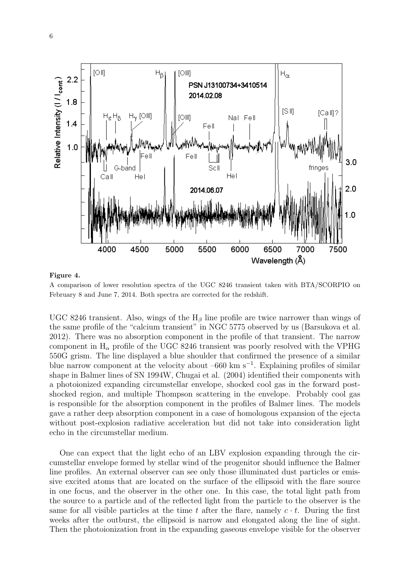

## Figure 4.

A comparison of lower resolution spectra of the UGC 8246 transient taken with BTA/SCORPIO on February 8 and June 7, 2014. Both spectra are corrected for the redshift.

UGC 8246 transient. Also, wings of the  $H_\beta$  line profile are twice narrower than wings of the same profile of the "calcium transient" in NGC 5775 observed by us (Barsukova et al. 2012). There was no absorption component in the profile of that transient. The narrow component in  $H_{\alpha}$  profile of the UGC 8246 transient was poorly resolved with the VPHG 550G grism. The line displayed a blue shoulder that confirmed the presence of a similar blue narrow component at the velocity about –660 km s<sup>−</sup><sup>1</sup> . Explaining profiles of similar shape in Balmer lines of SN 1994W, Chugai et al. (2004) identified their components with a photoionized expanding circumstellar envelope, shocked cool gas in the forward postshocked region, and multiple Thompson scattering in the envelope. Probably cool gas is responsible for the absorption component in the profiles of Balmer lines. The models gave a rather deep absorption component in a case of homologous expansion of the ejecta without post-explosion radiative acceleration but did not take into consideration light echo in the circumstellar medium.

One can expect that the light echo of an LBV explosion expanding through the circumstellar envelope formed by stellar wind of the progenitor should influence the Balmer line profiles. An external observer can see only those illuminated dust particles or emissive excited atoms that are located on the surface of the ellipsoid with the flare source in one focus, and the observer in the other one. In this case, the total light path from the source to a particle and of the reflected light from the particle to the observer is the same for all visible particles at the time t after the flare, namely  $c \cdot t$ . During the first weeks after the outburst, the ellipsoid is narrow and elongated along the line of sight. Then the photoionization front in the expanding gaseous envelope visible for the observer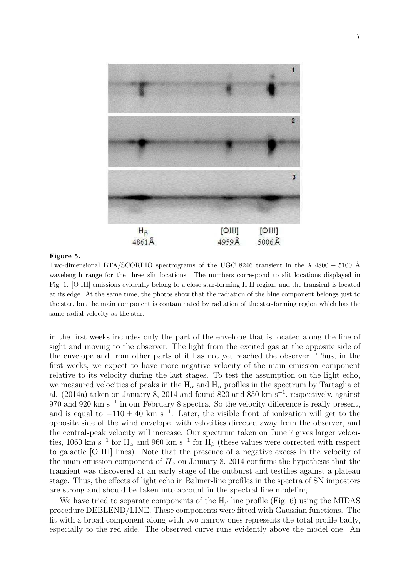

## Figure 5.

Two-dimensional BTA/SCORPIO spectrograms of the UGC 8246 transient in the  $\lambda$  4800 – 5100 Å wavelength range for the three slit locations. The numbers correspond to slit locations displayed in Fig. 1. [O III] emissions evidently belong to a close star-forming H II region, and the transient is located at its edge. At the same time, the photos show that the radiation of the blue component belongs just to the star, but the main component is contaminated by radiation of the star-forming region which has the same radial velocity as the star.

in the first weeks includes only the part of the envelope that is located along the line of sight and moving to the observer. The light from the excited gas at the opposite side of the envelope and from other parts of it has not yet reached the observer. Thus, in the first weeks, we expect to have more negative velocity of the main emission component relative to its velocity during the last stages. To test the assumption on the light echo, we measured velocities of peaks in the  $H_{\alpha}$  and  $H_{\beta}$  profiles in the spectrum by Tartaglia et al. (2014a) taken on January 8, 2014 and found 820 and 850 km s<sup>-1</sup>, respectively, against 970 and 920 km s<sup>-1</sup> in our February 8 spectra. So the velocity difference is really present, and is equal to  $-110 \pm 40$  km s<sup>-1</sup>. Later, the visible front of ionization will get to the opposite side of the wind envelope, with velocities directed away from the observer, and the central-peak velocity will increase. Our spectrum taken on June 7 gives larger velocities, 1060 km s<sup>-1</sup> for H<sub>α</sub> and 960 km s<sup>-1</sup> for H<sub>β</sub> (these values were corrected with respect to galactic [O III] lines). Note that the presence of a negative excess in the velocity of the main emission component of  $H_{\alpha}$  on January 8, 2014 confirms the hypothesis that the transient was discovered at an early stage of the outburst and testifies against a plateau stage. Thus, the effects of light echo in Balmer-line profiles in the spectra of SN impostors are strong and should be taken into account in the spectral line modeling.

We have tried to separate components of the  $H_\beta$  line profile (Fig. 6) using the MIDAS procedure DEBLEND/LINE. These components were fitted with Gaussian functions. The fit with a broad component along with two narrow ones represents the total profile badly, especially to the red side. The observed curve runs evidently above the model one. An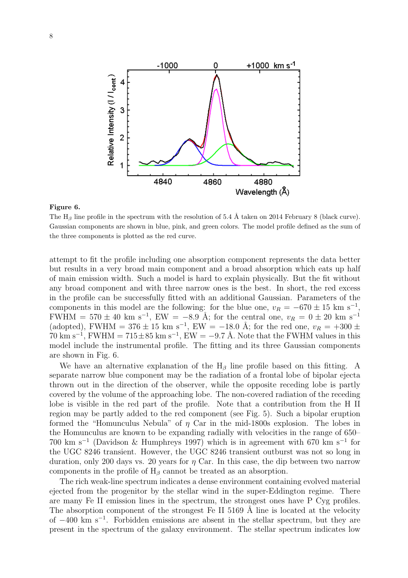

### Figure 6.

The H<sub>β</sub> line profile in the spectrum with the resolution of 5.4 Å taken on 2014 February 8 (black curve). Gaussian components are shown in blue, pink, and green colors. The model profile defined as the sum of the three components is plotted as the red curve.

attempt to fit the profile including one absorption component represents the data better but results in a very broad main component and a broad absorption which eats up half of main emission width. Such a model is hard to explain physically. But the fit without any broad component and with three narrow ones is the best. In short, the red excess in the profile can be successfully fitted with an additional Gaussian. Parameters of the components in this model are the following: for the blue one,  $v_R = -670 \pm 15$  km s<sup>-1</sup>, FWHM =  $570 \pm 40$  km s<sup>-1</sup>, EW =  $-8.9$  Å; for the central one,  $v_R = 0 \pm 20$  km s<sup>-1</sup> (adopted), FWHM = 376  $\pm$  15 km s<sup>-1</sup>, EW = -18.0 Å; for the red one,  $v_R$  = +300  $\pm$  $70 \text{ km s}^{-1}$ , FWHM =  $715 \pm 85 \text{ km s}^{-1}$ , EW =  $-9.7 \text{ Å}$ . Note that the FWHM values in this model include the instrumental profile. The fitting and its three Gaussian components are shown in Fig. 6.

We have an alternative explanation of the  $H_\beta$  line profile based on this fitting. A separate narrow blue component may be the radiation of a frontal lobe of bipolar ejecta thrown out in the direction of the observer, while the opposite receding lobe is partly covered by the volume of the approaching lobe. The non-covered radiation of the receding lobe is visible in the red part of the profile. Note that a contribution from the H II region may be partly added to the red component (see Fig. 5). Such a bipolar eruption formed the "Homunculus Nebula" of  $\eta$  Car in the mid-1800s explosion. The lobes in the Homunculus are known to be expanding radially with velocities in the range of 650– 700 km s<sup>−</sup><sup>1</sup> (Davidson & Humphreys 1997) which is in agreement with 670 km s<sup>−</sup><sup>1</sup> for the UGC 8246 transient. However, the UGC 8246 transient outburst was not so long in duration, only 200 days vs. 20 years for  $\eta$  Car. In this case, the dip between two narrow components in the profile of  $H_\beta$  cannot be treated as an absorption.

The rich weak-line spectrum indicates a dense environment containing evolved material ejected from the progenitor by the stellar wind in the super-Eddington regime. There are many Fe II emission lines in the spectrum, the strongest ones have P Cyg profiles. The absorption component of the strongest Fe II  $5169$  Å line is located at the velocity of −400 km s<sup>−</sup><sup>1</sup> . Forbidden emissions are absent in the stellar spectrum, but they are present in the spectrum of the galaxy environment. The stellar spectrum indicates low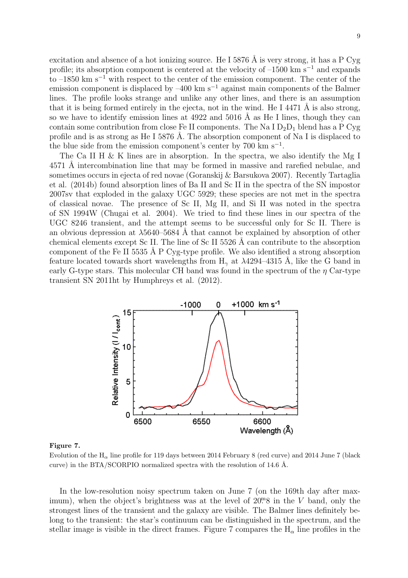excitation and absence of a hot ionizing source. He I 5876  $\AA$  is very strong, it has a P Cyg profile; its absorption component is centered at the velocity of –1500 km s<sup>-1</sup> and expands to –1850 km s<sup>−</sup><sup>1</sup> with respect to the center of the emission component. The center of the emission component is displaced by  $-400 \text{ km s}^{-1}$  against main components of the Balmer lines. The profile looks strange and unlike any other lines, and there is an assumption that it is being formed entirely in the ejecta, not in the wind. He I 4471  $\AA$  is also strong, so we have to identify emission lines at  $4922$  and  $5016$  Å as He I lines, though they can contain some contribution from close Fe II components. The Na I  $D_2D_1$  blend has a P Cyg profile and is as strong as He I 5876 A. The absorption component of Na I is displaced to the blue side from the emission component's center by  $700 \text{ km s}^{-1}$ .

The Ca II H  $\&$  K lines are in absorption. In the spectra, we also identify the Mg I 4571 Å intercombination line that may be formed in massive and rarefied nebulae, and sometimes occurs in ejecta of red novae (Goranskij & Barsukova 2007). Recently Tartaglia et al. (2014b) found absorption lines of Ba II and Sc II in the spectra of the SN impostor 2007sv that exploded in the galaxy UGC 5929; these species are not met in the spectra of classical novae. The presence of Sc II, Mg II, and Si II was noted in the spectra of SN 1994W (Chugai et al. 2004). We tried to find these lines in our spectra of the UGC 8246 transient, and the attempt seems to be successful only for Sc II. There is an obvious depression at  $\lambda$ 5640–5684 Å that cannot be explained by absorption of other chemical elements except Sc II. The line of Sc II 5526 Å can contribute to the absorption component of the Fe II 5535 Å P Cyg-type profile. We also identified a strong absorption feature located towards short wavelengths from  $H_{\gamma}$  at  $\lambda$ 4294–4315 Å, like the G band in early G-type stars. This molecular CH band was found in the spectrum of the  $\eta$  Car-type transient SN 2011ht by Humphreys et al. (2012).



#### Figure 7.

Evolution of the  $H_{\alpha}$  line profile for 119 days between 2014 February 8 (red curve) and 2014 June 7 (black curve) in the BTA/SCORPIO normalized spectra with the resolution of 14.6 Å.

In the low-resolution noisy spectrum taken on June 7 (on the 169th day after maximum), when the object's brightness was at the level of  $20<sup>m</sup>8$  in the V band, only the strongest lines of the transient and the galaxy are visible. The Balmer lines definitely belong to the transient: the star's continuum can be distinguished in the spectrum, and the stellar image is visible in the direct frames. Figure 7 compares the  $H_{\alpha}$  line profiles in the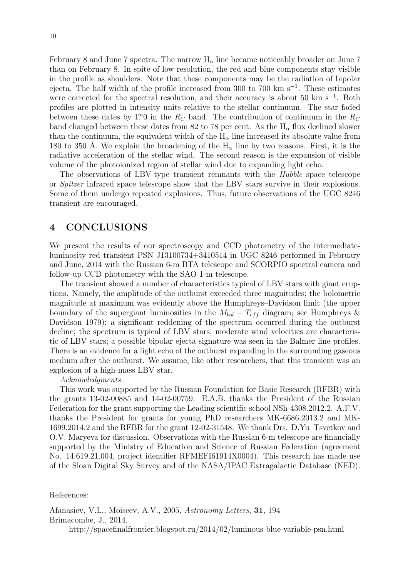February 8 and June 7 spectra. The narrow  $H_{\alpha}$  line became noticeably broader on June 7 than on February 8. In spite of low resolution, the red and blue components stay visible in the profile as shoulders. Note that these components may be the radiation of bipolar ejecta. The half width of the profile increased from 300 to 700 km s<sup>-1</sup>. These estimates were corrected for the spectral resolution, and their accuracy is about 50 km s<sup> $-1$ </sup>. Both profiles are plotted in intensity units relative to the stellar continuum. The star faded between these dates by  $1^{\text{m}}0$  in the  $R_C$  band. The contribution of continuum in the  $R_C$ band changed between these dates from 82 to 78 per cent. As the  $H_{\alpha}$  flux declined slower than the continuum, the equivalent width of the  $H_{\alpha}$  line increased its absolute value from 180 to 350 Å. We explain the broadening of the  $H_{\alpha}$  line by two reasons. First, it is the radiative acceleration of the stellar wind. The second reason is the expansion of visible volume of the photoionized region of stellar wind due to expanding light echo.

The observations of LBV-type transient remnants with the Hubble space telescope or Spitzer infrared space telescope show that the LBV stars survive in their explosions. Some of them undergo repeated explosions. Thus, future observations of the UGC 8246 transient are encouraged.

# 4 CONCLUSIONS

We present the results of our spectroscopy and CCD photometry of the intermediateluminosity red transient PSN J13100734+3410514 in UGC 8246 performed in February and June, 2014 with the Russian 6-m BTA telescope and SCORPIO spectral camera and follow-up CCD photometry with the SAO 1-m telescope.

The transient showed a number of characteristics typical of LBV stars with giant eruptions. Namely, the amplitude of the outburst exceeded three magnitudes; the bolometric magnitude at maximum was evidently above the Humphreys–Davidson limit (the upper boundary of the supergiant luminosities in the  $M_{bol} - T_{eff}$  diagram; see Humphreys & Davidson 1979); a significant reddening of the spectrum occurred during the outburst decline; the spectrum is typical of LBV stars; moderate wind velocities are characteristic of LBV stars; a possible bipolar ejecta signature was seen in the Balmer line profiles. There is an evidence for a light echo of the outburst expanding in the surrounding gaseous medium after the outburst. We assume, like other researchers, that this transient was an explosion of a high-mass LBV star.

# Acknowledgments.

This work was supported by the Russian Foundation for Basic Research (RFBR) with the grants 13-02-00885 and 14-02-00759. E.A.B. thanks the President of the Russian Federation for the grant supporting the Leading scientific school NSh-4308.2012.2. A.F.V. thanks the President for grants for young PhD researchers MK-6686.2013.2 and MK-1699.2014.2 and the RFBR for the grant 12-02-31548. We thank Drs. D.Yu Tsvetkov and O.V. Maryeva for discussion. Observations with the Russian 6-m telescope are financially supported by the Ministry of Education and Science of Russian Federation (agreement No. 14.619.21.004, project identifier RFMEFI61914X0004). This research has made use of the Sloan Digital Sky Survey and of the NASA/IPAC Extragalactic Database (NED).

References:

Afanasiev, V.L., Moiseev, A.V., 2005, Astronomy Letters, 31, 194 Brimacombe, J., 2014,

http://spacefinalfrontier.blogspot.ru/2014/02/luminous-blue-variable-psn.html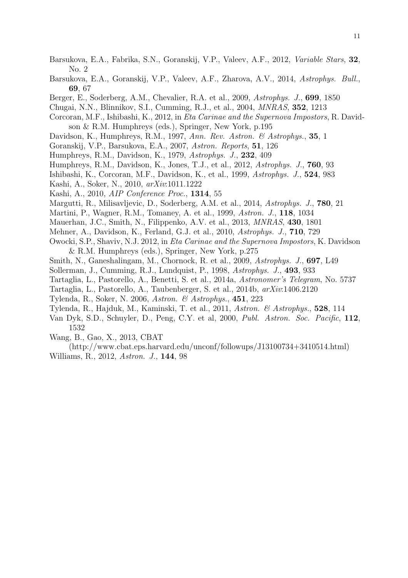- Barsukova, E.A., Fabrika, S.N., Goranskij, V.P., Valeev, A.F., 2012, Variable Stars, 32, No. 2
- Barsukova, E.A., Goranskij, V.P., Valeev, A.F., Zharova, A.V., 2014, Astrophys. Bull., 69, 67
- Berger, E., Soderberg, A.M., Chevalier, R.A. et al., 2009, Astrophys. J., 699, 1850
- Chugai, N.N., Blinnikov, S.I., Cumming, R.J., et al., 2004, MNRAS, 352, 1213
- Corcoran, M.F., Ishibashi, K., 2012, in Eta Carinae and the Supernova Impostors, R. Davidson & R.M. Humphreys (eds.), Springer, New York, p.195
- Davidson, K., Humphreys, R.M., 1997, Ann. Rev. Astron. & Astrophys., 35, 1
- Goranskij, V.P., Barsukova, E.A., 2007, Astron. Reports, 51, 126
- Humphreys, R.M., Davidson, K., 1979, Astrophys. J., 232, 409
- Humphreys, R.M., Davidson, K., Jones, T.J., et al., 2012, Astrophys. J., 760, 93
- Ishibashi, K., Corcoran, M.F., Davidson, K., et al., 1999, Astrophys. J., 524, 983
- Kashi, A., Soker, N., 2010, arXiv:1011.1222
- Kashi, A., 2010, AIP Conference Proc., 1314, 55
- Margutti, R., Milisavljevic, D., Soderberg, A.M. et al., 2014, Astrophys. J., 780, 21
- Martini, P., Wagner, R.M., Tomaney, A. et al., 1999, Astron. J., 118, 1034
- Mauerhan, J.C., Smith, N., Filippenko, A.V. et al., 2013, MNRAS, 430, 1801
- Mehner, A., Davidson, K., Ferland, G.J. et al., 2010, Astrophys. J., 710, 729
- Owocki, S.P., Shaviv, N.J. 2012, in Eta Carinae and the Supernova Impostors, K. Davidson & R.M. Humphreys (eds.), Springer, New York, p.275
- Smith, N., Ganeshalingam, M., Chornock, R. et al., 2009, Astrophys. J., 697, L49
- Sollerman, J., Cumming, R.J., Lundquist, P., 1998, Astrophys. J., 493, 933
- Tartaglia, L., Pastorello, A., Benetti, S. et al., 2014a, Astronomer's Telegram, No. 5737
- Tartaglia, L., Pastorello, A., Taubenberger, S. et al., 2014b, arXiv:1406.2120
- Tylenda, R., Soker, N. 2006, Astron. & Astrophys., 451, 223
- Tylenda, R., Hajduk, M., Kaminski, T. et al., 2011, Astron. & Astrophys., 528, 114
- Van Dyk, S.D., Schuyler, D., Peng, C.Y. et al, 2000, Publ. Astron. Soc. Pacific, 112, 1532
- Wang, B., Gao, X., 2013, CBAT
- (http://www.cbat.eps.harvard.edu/unconf/followups/J13100734+3410514.html) Williams, R., 2012, Astron. J., 144, 98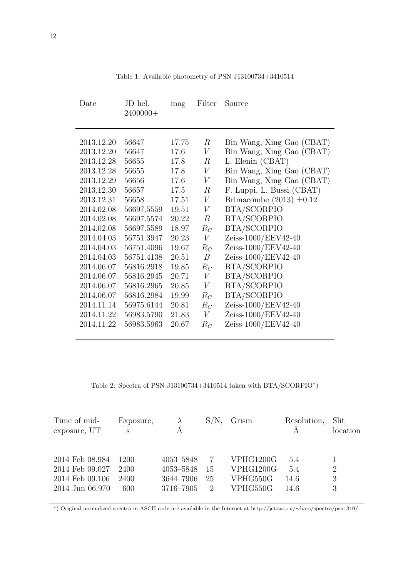| Date       | JD hel.<br>$2400000+$ | mag   | Filter           | Source                       |
|------------|-----------------------|-------|------------------|------------------------------|
| 2013.12.20 | 56647                 | 17.75 | $\boldsymbol{R}$ | Bin Wang, Xing Gao (CBAT)    |
| 2013.12.20 | 56647                 | 17.6  | V                | Bin Wang, Xing Gao (CBAT)    |
| 2013.12.28 | 56655                 | 17.8  | $\boldsymbol{R}$ | L. Elenin (CBAT)             |
| 2013.12.28 | 56655                 | 17.8  | V                | Bin Wang, Xing Gao (CBAT)    |
| 2013.12.29 | 56656                 | 17.6  | V                | Bin Wang, Xing Gao (CBAT)    |
| 2013.12.30 | 56657                 | 17.5  | $\boldsymbol{R}$ | F. Luppi, L. Bussi (CBAT)    |
| 2013.12.31 | 56658                 | 17.51 | V                | Brimacombe (2013) $\pm 0.12$ |
| 2014.02.08 | 56697.5559            | 19.51 | $\boldsymbol{V}$ | BTA/SCORPIO                  |
| 2014.02.08 | 56697.5574            | 20.22 | $\boldsymbol{B}$ | <b>BTA/SCORPIO</b>           |
| 2014.02.08 | 56697.5589            | 18.97 | $R_C$            | <b>BTA/SCORPIO</b>           |
| 2014.04.03 | 56751.3947            | 20.23 | V                | Zeiss-1000/EEV42-40          |
| 2014.04.03 | 56751.4096            | 19.67 | $R_C$            | Zeiss-1000/EEV42-40          |
| 2014.04.03 | 56751.4138            | 20.51 | $\boldsymbol{B}$ | Zeiss-1000/EEV42-40          |
| 2014.06.07 | 56816.2918            | 19.85 | $R_C$            | <b>BTA/SCORPIO</b>           |
| 2014.06.07 | 56816.2945            | 20.71 | V                | <b>BTA/SCORPIO</b>           |
| 2014.06.07 | 56816.2965            | 20.85 | V                | <b>BTA/SCORPIO</b>           |
| 2014.06.07 | 56816.2984            | 19.99 | $R_C$            | BTA/SCORPIO                  |
| 2014.11.14 | 56975.6144            | 20.81 | $R_C$            | Zeiss-1000/EEV42-40          |
| 2014.11.22 | 56983.5790            | 21.83 | V                | Zeiss-1000/EEV42-40          |
| 2014.11.22 | 56983.5963            | 20.67 | $R_C$            | Zeiss-1000/EEV42-40          |

Table 1: Available photometry of PSN J13100734+3410514

Table 2: Spectra of PSN J13100734+3410514 taken with BTA/SCORPIO<sup>\*</sup>)

| Time of mid-<br>exposure, UT                                             | Exposure,<br>S              | $\lambda$<br>Á                                   | $S/N$ .            | Grism                                          | Resolution,                | Slit<br>location         |
|--------------------------------------------------------------------------|-----------------------------|--------------------------------------------------|--------------------|------------------------------------------------|----------------------------|--------------------------|
| 2014 Feb 08.984<br>2014 Feb 09.027<br>2014 Feb 09.106<br>2014 Jun 06.970 | 1200<br>2400<br>2400<br>600 | 4053-5848<br>4053-5848<br>3644-7906<br>3716–7905 | 7<br>15<br>25<br>2 | VPHG1200G<br>VPHG1200G<br>VPHG550G<br>VPHG550G | 5.4<br>5.4<br>14.6<br>14.6 | $\overline{2}$<br>3<br>3 |

<sup>∗</sup>) Original normalized spectra in ASCII code are available in the Internet at http://jet.sao.ru/∼bars/spectra/psn1310/